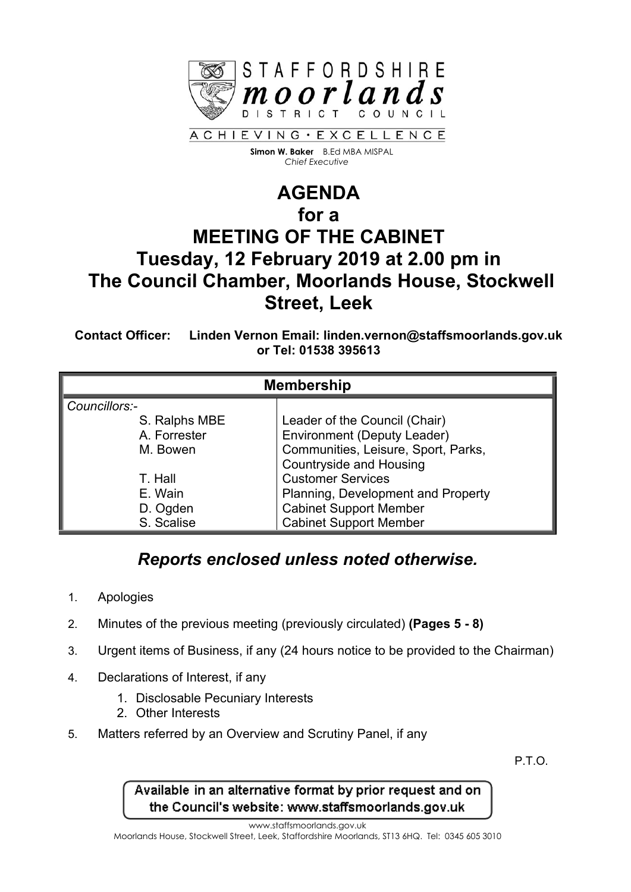

 **Simon W. Baker** B.Ed MBA MISPAL  *Chief Executive*

## **AGENDA for a MEETING OF THE CABINET Tuesday, 12 February 2019 at 2.00 pm in The Council Chamber, Moorlands House, Stockwell Street, Leek**

**Contact Officer: Linden Vernon Email: linden.vernon@staffsmoorlands.gov.uk or Tel: 01538 395613**

| <b>Membership</b> |                                     |
|-------------------|-------------------------------------|
| Councillors:-     |                                     |
| S. Ralphs MBE     | Leader of the Council (Chair)       |
| A. Forrester      | <b>Environment (Deputy Leader)</b>  |
| M. Bowen          | Communities, Leisure, Sport, Parks, |
|                   | <b>Countryside and Housing</b>      |
| T. Hall           | <b>Customer Services</b>            |
| E. Wain           | Planning, Development and Property  |
| D. Ogden          | <b>Cabinet Support Member</b>       |
| S. Scalise        | <b>Cabinet Support Member</b>       |

## *Reports enclosed unless noted otherwise.*

- 1. Apologies
- 2. Minutes of the previous meeting (previously circulated) **(Pages 5 - 8)**
- 3. Urgent items of Business, if any (24 hours notice to be provided to the Chairman)
- 4. Declarations of Interest, if any
	- 1. Disclosable Pecuniary Interests
	- 2. Other Interests
- 5. Matters referred by an Overview and Scrutiny Panel, if any

P.T.O.

Available in an alternative format by prior request and on the Council's website: www.staffsmoorlands.gov.uk

www.staffsmoorlands.gov.uk

Moorlands House, Stockwell Street, Leek, Staffordshire Moorlands, ST13 6HQ. Tel: 0345 605 3010